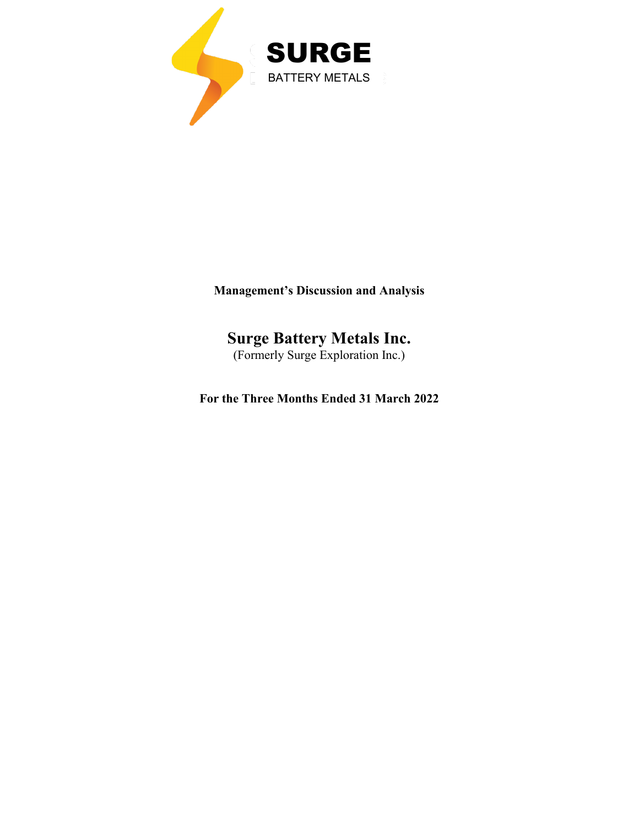

**Management's Discussion and Analysis**

# **Surge Battery Metals Inc.**

(Formerly Surge Exploration Inc.)

**For the Three Months Ended 31 March 2022**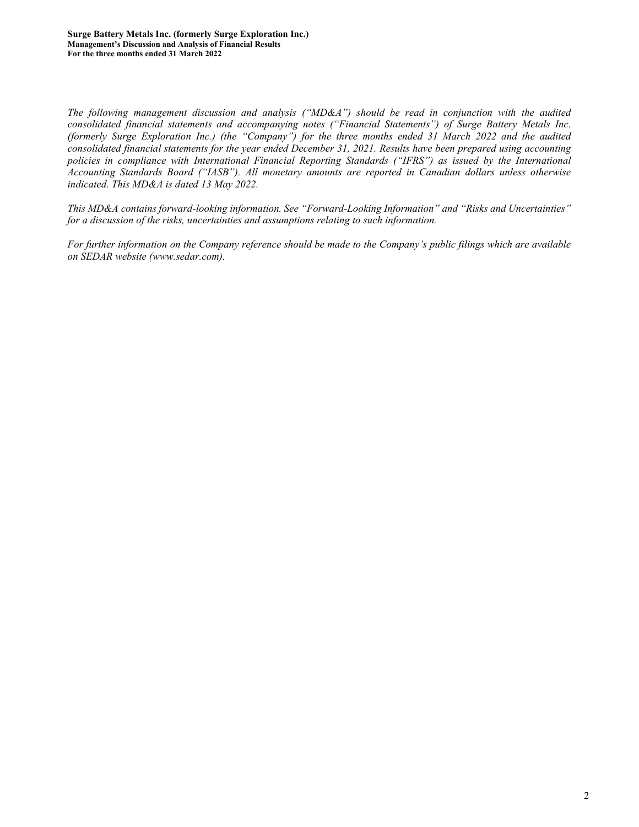*The following management discussion and analysis ("MD&A") should be read in conjunction with the audited consolidated financial statements and accompanying notes ("Financial Statements") of Surge Battery Metals Inc. (formerly Surge Exploration Inc.) (the "Company") for the three months ended 31 March 2022 and the audited consolidated financial statements for the year ended December 31, 2021. Results have been prepared using accounting policies in compliance with International Financial Reporting Standards ("IFRS") as issued by the International Accounting Standards Board ("IASB"). All monetary amounts are reported in Canadian dollars unless otherwise indicated. This MD&A is dated 13 May 2022.*

*This MD&A contains forward-looking information. See "Forward-Looking Information" and "Risks and Uncertainties" for a discussion of the risks, uncertainties and assumptions relating to such information.*

*For further information on the Company reference should be made to the Company's public filings which are available on SEDAR website [\(www.sedar.com\)](http://www.sedar.com/).*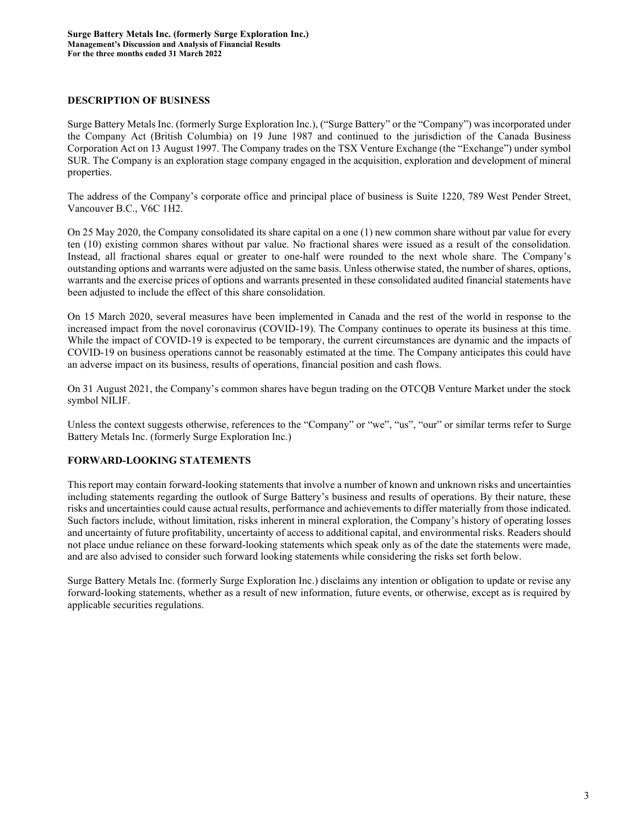# **DESCRIPTION OF BUSINESS**

Surge Battery Metals Inc. (formerly Surge Exploration Inc.), ("Surge Battery" or the "Company") was incorporated under the Company Act (British Columbia) on 19 June 1987 and continued to the jurisdiction of the Canada Business Corporation Act on 13 August 1997. The Company trades on the TSX Venture Exchange (the "Exchange") under symbol SUR. The Company is an exploration stage company engaged in the acquisition, exploration and development of mineral properties.

The address of the Company's corporate office and principal place of business is Suite 1220, 789 West Pender Street, Vancouver B.C., V6C 1H2.

On 25 May 2020, the Company consolidated its share capital on a one (1) new common share without par value for every ten (10) existing common shares without par value. No fractional shares were issued as a result of the consolidation. Instead, all fractional shares equal or greater to one-half were rounded to the next whole share. The Company's outstanding options and warrants were adjusted on the same basis. Unless otherwise stated, the number of shares, options, warrants and the exercise prices of options and warrants presented in these consolidated audited financial statements have been adjusted to include the effect of this share consolidation.

On 15 March 2020, several measures have been implemented in Canada and the rest of the world in response to the increased impact from the novel coronavirus (COVID-19). The Company continues to operate its business at this time. While the impact of COVID-19 is expected to be temporary, the current circumstances are dynamic and the impacts of COVID-19 on business operations cannot be reasonably estimated at the time. The Company anticipates this could have an adverse impact on its business, results of operations, financial position and cash flows.

On 31 August 2021, the Company's common shares have begun trading on the OTCQB Venture Market under the stock symbol NILIF.

Unless the context suggests otherwise, references to the "Company" or "we", "us", "our" or similar terms refer to Surge Battery Metals Inc. (formerly Surge Exploration Inc.)

#### **FORWARD-LOOKING STATEMENTS**

This report may contain forward-looking statements that involve a number of known and unknown risks and uncertainties including statements regarding the outlook of Surge Battery's business and results of operations. By their nature, these risks and uncertainties could cause actual results, performance and achievements to differ materially from those indicated. Such factors include, without limitation, risks inherent in mineral exploration, the Company's history of operating losses and uncertainty of future profitability, uncertainty of access to additional capital, and environmental risks. Readers should not place undue reliance on these forward-looking statements which speak only as of the date the statements were made, and are also advised to consider such forward looking statements while considering the risks set forth below.

Surge Battery Metals Inc. (formerly Surge Exploration Inc.) disclaims any intention or obligation to update or revise any forward-looking statements, whether as a result of new information, future events, or otherwise, except as is required by applicable securities regulations.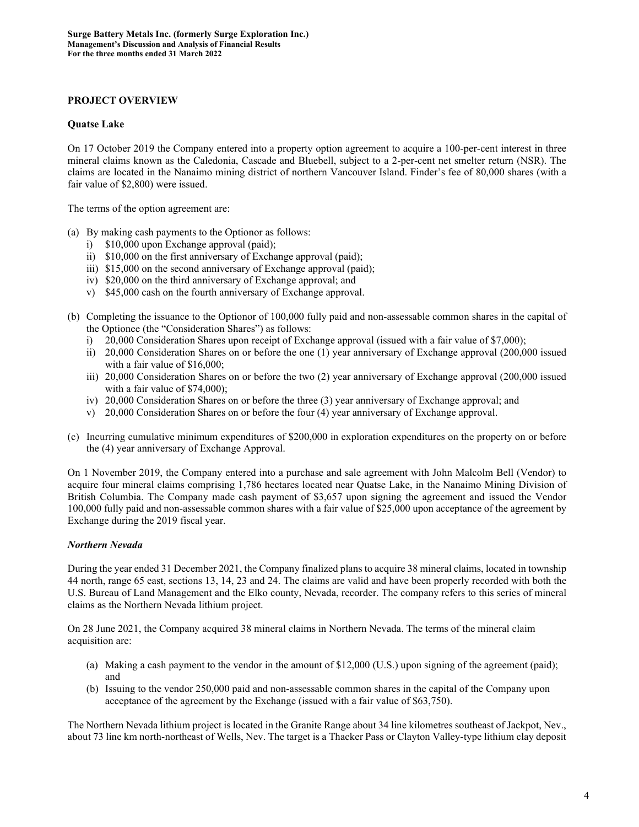#### **PROJECT OVERVIEW**

#### **Quatse Lake**

On 17 October 2019 the Company entered into a property option agreement to acquire a 100-per-cent interest in three mineral claims known as the Caledonia, Cascade and Bluebell, subject to a 2-per-cent net smelter return (NSR). The claims are located in the Nanaimo mining district of northern Vancouver Island. Finder's fee of 80,000 shares (with a fair value of \$2,800) were issued.

The terms of the option agreement are:

- (a) By making cash payments to the Optionor as follows:
	- i) \$10,000 upon Exchange approval (paid);
	- ii) \$10,000 on the first anniversary of Exchange approval (paid);
	- iii) \$15,000 on the second anniversary of Exchange approval (paid);
	- iv) \$20,000 on the third anniversary of Exchange approval; and
	- v) \$45,000 cash on the fourth anniversary of Exchange approval.
- (b) Completing the issuance to the Optionor of 100,000 fully paid and non-assessable common shares in the capital of the Optionee (the "Consideration Shares") as follows:
	- i) 20,000 Consideration Shares upon receipt of Exchange approval (issued with a fair value of \$7,000);
	- ii) 20,000 Consideration Shares on or before the one (1) year anniversary of Exchange approval (200,000 issued with a fair value of \$16,000;
	- iii) 20,000 Consideration Shares on or before the two (2) year anniversary of Exchange approval (200,000 issued with a fair value of \$74,000);
	- iv) 20,000 Consideration Shares on or before the three (3) year anniversary of Exchange approval; and
	- v) 20,000 Consideration Shares on or before the four (4) year anniversary of Exchange approval.
- (c) Incurring cumulative minimum expenditures of \$200,000 in exploration expenditures on the property on or before the (4) year anniversary of Exchange Approval.

On 1 November 2019, the Company entered into a purchase and sale agreement with John Malcolm Bell (Vendor) to acquire four mineral claims comprising 1,786 hectares located near Quatse Lake, in the Nanaimo Mining Division of British Columbia. The Company made cash payment of \$3,657 upon signing the agreement and issued the Vendor 100,000 fully paid and non-assessable common shares with a fair value of \$25,000 upon acceptance of the agreement by Exchange during the 2019 fiscal year.

#### *Northern Nevada*

During the year ended 31 December 2021, the Company finalized plans to acquire 38 mineral claims, located in township 44 north, range 65 east, sections 13, 14, 23 and 24. The claims are valid and have been properly recorded with both the U.S. Bureau of Land Management and the Elko county, Nevada, recorder. The company refers to this series of mineral claims as the Northern Nevada lithium project.

On 28 June 2021, the Company acquired 38 mineral claims in Northern Nevada. The terms of the mineral claim acquisition are:

- (a) Making a cash payment to the vendor in the amount of \$12,000 (U.S.) upon signing of the agreement (paid); and
- (b) Issuing to the vendor 250,000 paid and non-assessable common shares in the capital of the Company upon acceptance of the agreement by the Exchange (issued with a fair value of \$63,750).

The Northern Nevada lithium project is located in the Granite Range about 34 line kilometres southeast of Jackpot, Nev., about 73 line km north-northeast of Wells, Nev. The target is a Thacker Pass or Clayton Valley-type lithium clay deposit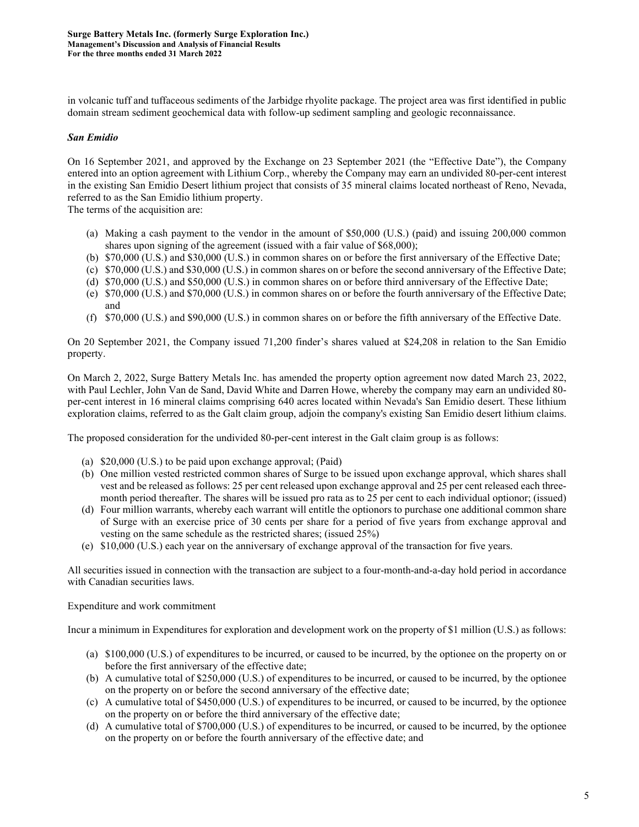in volcanic tuff and tuffaceous sediments of the Jarbidge rhyolite package. The project area was first identified in public domain stream sediment geochemical data with follow-up sediment sampling and geologic reconnaissance.

#### *San Emidio*

On 16 September 2021, and approved by the Exchange on 23 September 2021 (the "Effective Date"), the Company entered into an option agreement with Lithium Corp., whereby the Company may earn an undivided 80-per-cent interest in the existing San Emidio Desert lithium project that consists of 35 mineral claims located northeast of Reno, Nevada, referred to as the San Emidio lithium property.

The terms of the acquisition are:

- (a) Making a cash payment to the vendor in the amount of \$50,000 (U.S.) (paid) and issuing 200,000 common shares upon signing of the agreement (issued with a fair value of \$68,000);
- (b) \$70,000 (U.S.) and \$30,000 (U.S.) in common shares on or before the first anniversary of the Effective Date;
- (c) \$70,000 (U.S.) and \$30,000 (U.S.) in common shares on or before the second anniversary of the Effective Date;
- (d) \$70,000 (U.S.) and \$50,000 (U.S.) in common shares on or before third anniversary of the Effective Date;
- (e) \$70,000 (U.S.) and \$70,000 (U.S.) in common shares on or before the fourth anniversary of the Effective Date; and
- (f) \$70,000 (U.S.) and \$90,000 (U.S.) in common shares on or before the fifth anniversary of the Effective Date.

On 20 September 2021, the Company issued 71,200 finder's shares valued at \$24,208 in relation to the San Emidio property.

On March 2, 2022, Surge Battery Metals Inc. has amended the property option agreement now dated March 23, 2022, with Paul Lechler, John Van de Sand, David White and Darren Howe, whereby the company may earn an undivided 80 per-cent interest in 16 mineral claims comprising 640 acres located within Nevada's San Emidio desert. These lithium exploration claims, referred to as the Galt claim group, adjoin the company's existing San Emidio desert lithium claims.

The proposed consideration for the undivided 80-per-cent interest in the Galt claim group is as follows:

- (a) \$20,000 (U.S.) to be paid upon exchange approval; (Paid)
- (b) One million vested restricted common shares of Surge to be issued upon exchange approval, which shares shall vest and be released as follows: 25 per cent released upon exchange approval and 25 per cent released each threemonth period thereafter. The shares will be issued pro rata as to 25 per cent to each individual optionor; (issued)
- (d) Four million warrants, whereby each warrant will entitle the optionors to purchase one additional common share of Surge with an exercise price of 30 cents per share for a period of five years from exchange approval and vesting on the same schedule as the restricted shares; (issued 25%)
- (e) \$10,000 (U.S.) each year on the anniversary of exchange approval of the transaction for five years.

All securities issued in connection with the transaction are subject to a four-month-and-a-day hold period in accordance with Canadian securities laws.

#### Expenditure and work commitment

Incur a minimum in Expenditures for exploration and development work on the property of \$1 million (U.S.) as follows:

- (a) \$100,000 (U.S.) of expenditures to be incurred, or caused to be incurred, by the optionee on the property on or before the first anniversary of the effective date;
- (b) A cumulative total of \$250,000 (U.S.) of expenditures to be incurred, or caused to be incurred, by the optionee on the property on or before the second anniversary of the effective date;
- (c) A cumulative total of \$450,000 (U.S.) of expenditures to be incurred, or caused to be incurred, by the optionee on the property on or before the third anniversary of the effective date;
- (d) A cumulative total of \$700,000 (U.S.) of expenditures to be incurred, or caused to be incurred, by the optionee on the property on or before the fourth anniversary of the effective date; and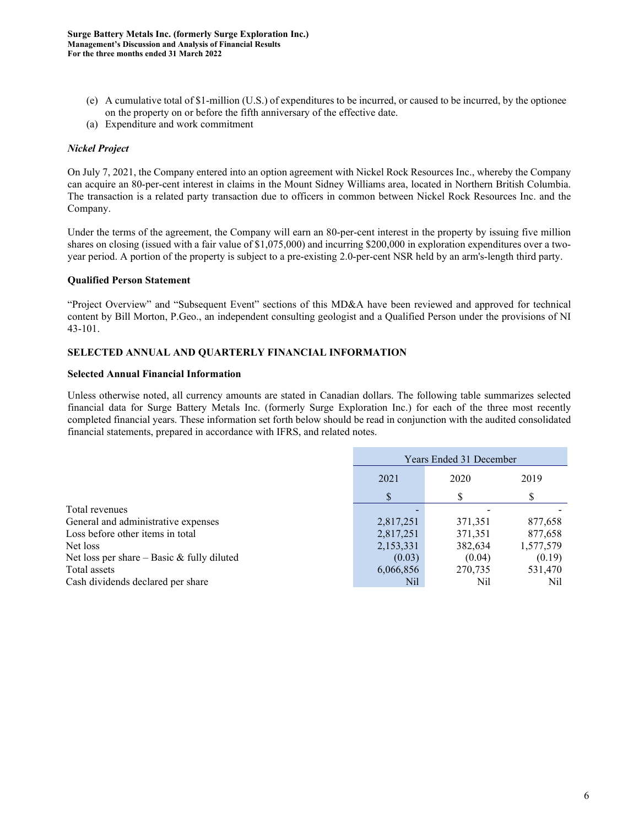- (e) A cumulative total of \$1-million (U.S.) of expenditures to be incurred, or caused to be incurred, by the optionee on the property on or before the fifth anniversary of the effective date.
- (a) Expenditure and work commitment

# *Nickel Project*

On July 7, 2021, the Company entered into an option agreement with Nickel Rock Resources Inc., whereby the Company can acquire an 80-per-cent interest in claims in the Mount Sidney Williams area, located in Northern British Columbia. The transaction is a related party transaction due to officers in common between Nickel Rock Resources Inc. and the Company.

Under the terms of the agreement, the Company will earn an 80-per-cent interest in the property by issuing five million shares on closing (issued with a fair value of \$1,075,000) and incurring \$200,000 in exploration expenditures over a twoyear period. A portion of the property is subject to a pre-existing 2.0-per-cent NSR held by an arm's-length third party.

#### **Qualified Person Statement**

"Project Overview" and "Subsequent Event" sections of this MD&A have been reviewed and approved for technical content by Bill Morton, P.Geo., an independent consulting geologist and a Qualified Person under the provisions of NI 43-101.

#### **SELECTED ANNUAL AND QUARTERLY FINANCIAL INFORMATION**

#### **Selected Annual Financial Information**

Unless otherwise noted, all currency amounts are stated in Canadian dollars. The following table summarizes selected financial data for Surge Battery Metals Inc. (formerly Surge Exploration Inc.) for each of the three most recently completed financial years. These information set forth below should be read in conjunction with the audited consolidated financial statements, prepared in accordance with IFRS, and related notes.

|                                              | Years Ended 31 December |         |           |
|----------------------------------------------|-------------------------|---------|-----------|
|                                              | 2021                    | 2020    | 2019      |
|                                              |                         |         |           |
| Total revenues                               |                         |         |           |
| General and administrative expenses          | 2,817,251               | 371,351 | 877,658   |
| Loss before other items in total             | 2,817,251               | 371,351 | 877,658   |
| Net loss                                     | 2,153,331               | 382,634 | 1,577,579 |
| Net loss per share $-$ Basic & fully diluted | (0.03)                  | (0.04)  | (0.19)    |
| Total assets                                 | 6,066,856               | 270,735 | 531,470   |
| Cash dividends declared per share            | Nil                     | Nil     | Nil       |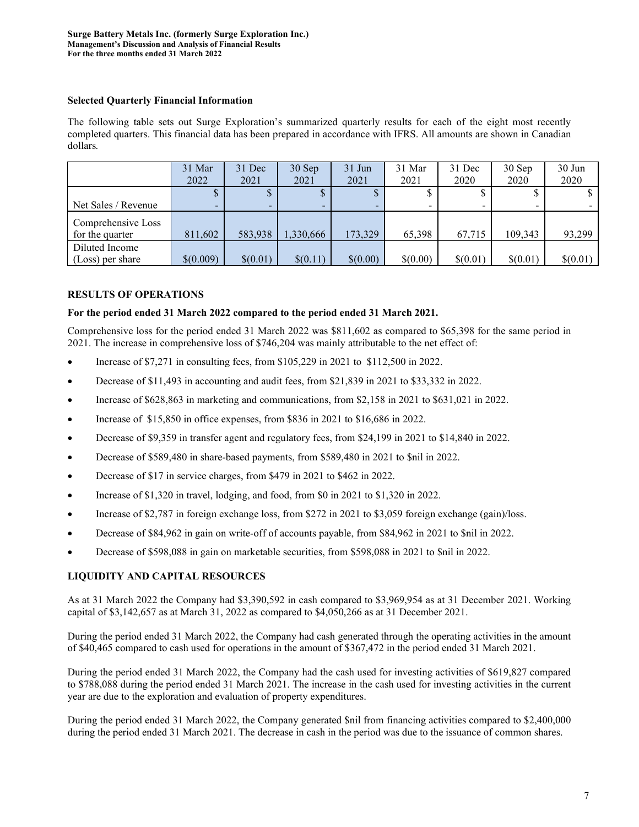# **Selected Quarterly Financial Information**

The following table sets out Surge Exploration's summarized quarterly results for each of the eight most recently completed quarters. This financial data has been prepared in accordance with IFRS. All amounts are shown in Canadian dollars*.* 

|                                       | 31 Mar<br>2022 | 31 Dec<br>2021 | 30 Sep<br>2021 | $31$ Jun<br>2021 | 31 Mar<br>2021 | 31 Dec<br>2020 | 30 Sep<br>2020           | $30$ Jun<br>2020 |
|---------------------------------------|----------------|----------------|----------------|------------------|----------------|----------------|--------------------------|------------------|
|                                       |                | Φ<br>Φ         | D.             | D                |                |                | D                        | <sup>\$</sup>    |
| Net Sales / Revenue                   | -              | -              | ۰.             |                  | -              |                | $\overline{\phantom{0}}$ |                  |
| Comprehensive Loss<br>for the quarter | 811,602        | 583,938        | 1,330,666      | 173,329          | 65,398         | 67,715         | 109,343                  | 93,299           |
| Diluted Income                        |                |                |                |                  |                |                |                          |                  |
| (Loss) per share                      | \$(0.009)      | \$(0.01)       | \$(0.11)       | \$(0.00)         | \$(0.00)       | \$(0.01)       | \$(0.01)                 | \$(0.01)         |

# **RESULTS OF OPERATIONS**

# **For the period ended 31 March 2022 compared to the period ended 31 March 2021.**

Comprehensive loss for the period ended 31 March 2022 was \$811,602 as compared to \$65,398 for the same period in 2021. The increase in comprehensive loss of \$746,204 was mainly attributable to the net effect of:

- Increase of \$7,271 in consulting fees, from \$105,229 in 2021 to \$112,500 in 2022.
- Decrease of \$11,493 in accounting and audit fees, from \$21,839 in 2021 to \$33,332 in 2022.
- Increase of \$628,863 in marketing and communications, from \$2,158 in 2021 to \$631,021 in 2022.
- Increase of \$15,850 in office expenses, from \$836 in 2021 to \$16,686 in 2022.
- Decrease of \$9,359 in transfer agent and regulatory fees, from \$24,199 in 2021 to \$14,840 in 2022.
- Decrease of \$589,480 in share-based payments, from \$589,480 in 2021 to \$nil in 2022.
- Decrease of \$17 in service charges, from \$479 in 2021 to \$462 in 2022.
- Increase of \$1,320 in travel, lodging, and food, from \$0 in 2021 to \$1,320 in 2022.
- Increase of \$2,787 in foreign exchange loss, from \$272 in 2021 to \$3,059 foreign exchange (gain)/loss.
- Decrease of \$84,962 in gain on write-off of accounts payable, from \$84,962 in 2021 to \$nil in 2022.
- Decrease of \$598,088 in gain on marketable securities, from \$598,088 in 2021 to \$nil in 2022.

# **LIQUIDITY AND CAPITAL RESOURCES**

As at 31 March 2022 the Company had \$3,390,592 in cash compared to \$3,969,954 as at 31 December 2021. Working capital of \$3,142,657 as at March 31, 2022 as compared to \$4,050,266 as at 31 December 2021.

During the period ended 31 March 2022, the Company had cash generated through the operating activities in the amount of \$40,465 compared to cash used for operations in the amount of \$367,472 in the period ended 31 March 2021.

During the period ended 31 March 2022, the Company had the cash used for investing activities of \$619,827 compared to \$788,088 during the period ended 31 March 2021. The increase in the cash used for investing activities in the current year are due to the exploration and evaluation of property expenditures.

During the period ended 31 March 2022, the Company generated \$nil from financing activities compared to \$2,400,000 during the period ended 31 March 2021. The decrease in cash in the period was due to the issuance of common shares.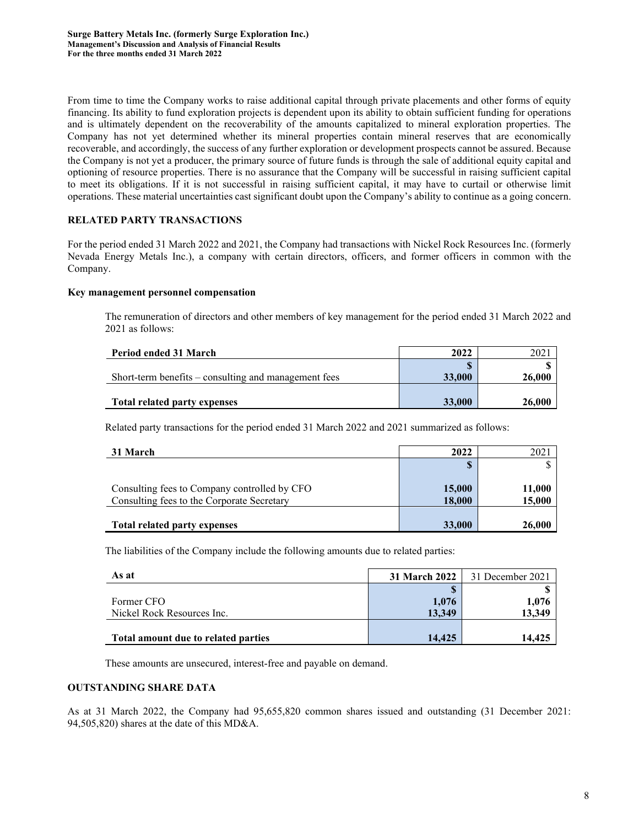From time to time the Company works to raise additional capital through private placements and other forms of equity financing. Its ability to fund exploration projects is dependent upon its ability to obtain sufficient funding for operations and is ultimately dependent on the recoverability of the amounts capitalized to mineral exploration properties. The Company has not yet determined whether its mineral properties contain mineral reserves that are economically recoverable, and accordingly, the success of any further exploration or development prospects cannot be assured. Because the Company is not yet a producer, the primary source of future funds is through the sale of additional equity capital and optioning of resource properties. There is no assurance that the Company will be successful in raising sufficient capital to meet its obligations. If it is not successful in raising sufficient capital, it may have to curtail or otherwise limit operations. These material uncertainties cast significant doubt upon the Company's ability to continue as a going concern.

# **RELATED PARTY TRANSACTIONS**

For the period ended 31 March 2022 and 2021, the Company had transactions with Nickel Rock Resources Inc. (formerly Nevada Energy Metals Inc.), a company with certain directors, officers, and former officers in common with the Company.

#### **Key management personnel compensation**

The remuneration of directors and other members of key management for the period ended 31 March 2022 and 2021 as follows:

| Period ended 31 March                                            | 2022          |        |
|------------------------------------------------------------------|---------------|--------|
|                                                                  |               |        |
| Short-term benefits $-\tilde{\ }$ consulting and management fees | 33,000        | 26,000 |
|                                                                  |               |        |
| Total related party expenses                                     | <b>33,000</b> | 26,000 |

Related party transactions for the period ended 31 March 2022 and 2021 summarized as follows:

| 31 March                                                                                   | 2022             | 2021             |
|--------------------------------------------------------------------------------------------|------------------|------------------|
|                                                                                            | S                |                  |
| Consulting fees to Company controlled by CFO<br>Consulting fees to the Corporate Secretary | 15,000<br>18,000 | 11,000<br>15,000 |
| <b>Total related party expenses</b>                                                        | 33,000           | 26,000           |

The liabilities of the Company include the following amounts due to related parties:

| As at                               | <b>31 March 2022</b> | 31 December 2021 |
|-------------------------------------|----------------------|------------------|
|                                     |                      |                  |
| Former CFO                          | 1,076                | 1,076            |
| Nickel Rock Resources Inc.          | 13.349               | 13,349           |
|                                     |                      |                  |
| Total amount due to related parties | 14.425               | 14.425           |

These amounts are unsecured, interest-free and payable on demand.

# **OUTSTANDING SHARE DATA**

As at 31 March 2022, the Company had 95,655,820 common shares issued and outstanding (31 December 2021: 94,505,820) shares at the date of this MD&A.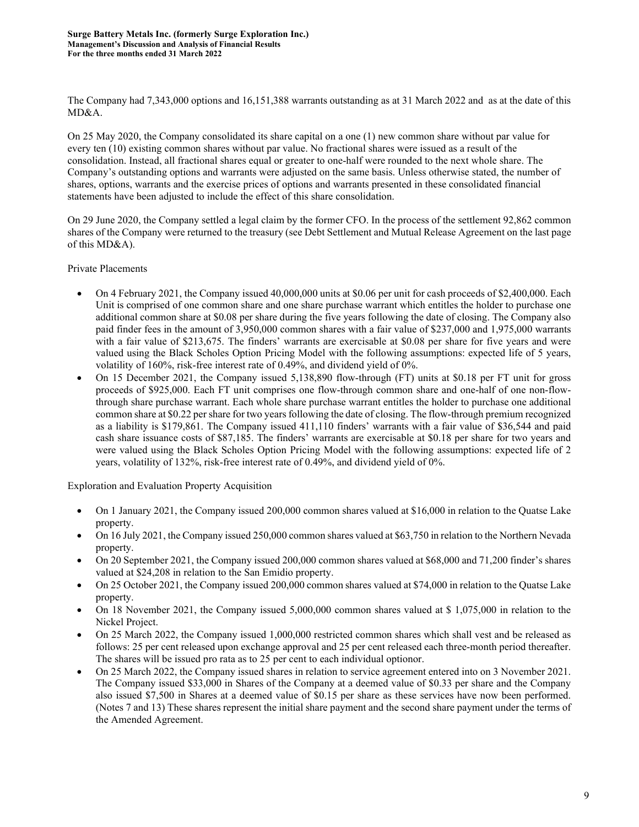The Company had 7,343,000 options and 16,151,388 warrants outstanding as at 31 March 2022 and as at the date of this MD&A.

On 25 May 2020, the Company consolidated its share capital on a one (1) new common share without par value for every ten (10) existing common shares without par value. No fractional shares were issued as a result of the consolidation. Instead, all fractional shares equal or greater to one-half were rounded to the next whole share. The Company's outstanding options and warrants were adjusted on the same basis. Unless otherwise stated, the number of shares, options, warrants and the exercise prices of options and warrants presented in these consolidated financial statements have been adjusted to include the effect of this share consolidation.

On 29 June 2020, the Company settled a legal claim by the former CFO. In the process of the settlement 92,862 common shares of the Company were returned to the treasury (see Debt Settlement and Mutual Release Agreement on the last page of this MD&A).

#### Private Placements

- On 4 February 2021, the Company issued 40,000,000 units at \$0.06 per unit for cash proceeds of \$2,400,000. Each Unit is comprised of one common share and one share purchase warrant which entitles the holder to purchase one additional common share at \$0.08 per share during the five years following the date of closing. The Company also paid finder fees in the amount of 3,950,000 common shares with a fair value of \$237,000 and 1,975,000 warrants with a fair value of \$213,675. The finders' warrants are exercisable at \$0.08 per share for five years and were valued using the Black Scholes Option Pricing Model with the following assumptions: expected life of 5 years, volatility of 160%, risk-free interest rate of 0.49%, and dividend yield of 0%.
- On 15 December 2021, the Company issued 5,138,890 flow-through (FT) units at \$0.18 per FT unit for gross proceeds of \$925,000. Each FT unit comprises one flow-through common share and one-half of one non-flowthrough share purchase warrant. Each whole share purchase warrant entitles the holder to purchase one additional common share at \$0.22 per share for two years following the date of closing. The flow-through premium recognized as a liability is \$179,861. The Company issued 411,110 finders' warrants with a fair value of \$36,544 and paid cash share issuance costs of \$87,185. The finders' warrants are exercisable at \$0.18 per share for two years and were valued using the Black Scholes Option Pricing Model with the following assumptions: expected life of 2 years, volatility of 132%, risk-free interest rate of 0.49%, and dividend yield of 0%.

Exploration and Evaluation Property Acquisition

- On 1 January 2021, the Company issued 200,000 common shares valued at \$16,000 in relation to the Quatse Lake property.
- On 16 July 2021, the Company issued 250,000 common shares valued at \$63,750 in relation to the Northern Nevada property.
- On 20 September 2021, the Company issued 200,000 common shares valued at \$68,000 and 71,200 finder's shares valued at \$24,208 in relation to the San Emidio property.
- On 25 October 2021, the Company issued 200,000 common shares valued at \$74,000 in relation to the Quatse Lake property.
- On 18 November 2021, the Company issued 5,000,000 common shares valued at \$ 1,075,000 in relation to the Nickel Project.
- On 25 March 2022, the Company issued 1,000,000 restricted common shares which shall vest and be released as follows: 25 per cent released upon exchange approval and 25 per cent released each three-month period thereafter. The shares will be issued pro rata as to 25 per cent to each individual optionor.
- On 25 March 2022, the Company issued shares in relation to service agreement entered into on 3 November 2021. The Company issued \$33,000 in Shares of the Company at a deemed value of \$0.33 per share and the Company also issued \$7,500 in Shares at a deemed value of \$0.15 per share as these services have now been performed. (Notes 7 and 13) These shares represent the initial share payment and the second share payment under the terms of the Amended Agreement.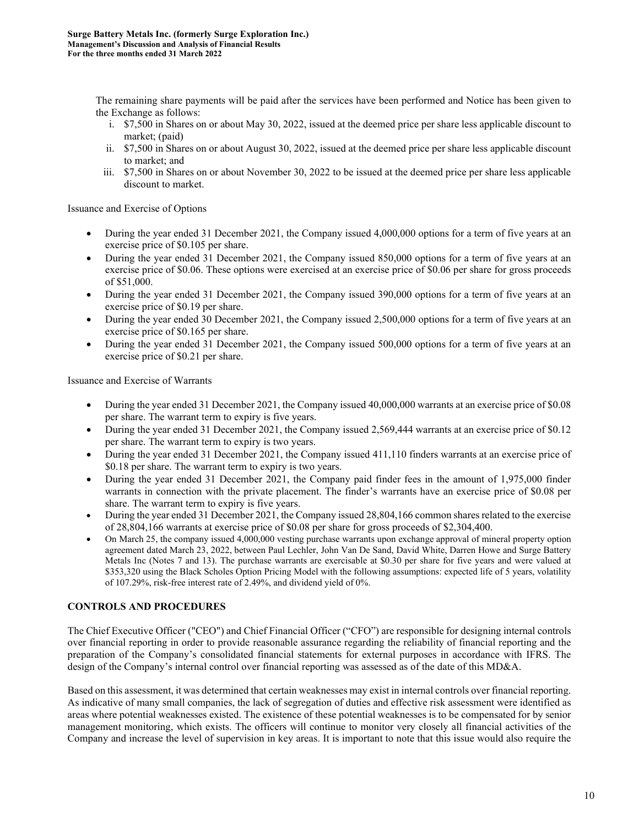The remaining share payments will be paid after the services have been performed and Notice has been given to the Exchange as follows:

- i. \$7,500 in Shares on or about May 30, 2022, issued at the deemed price per share less applicable discount to market; (paid)
- ii. \$7,500 in Shares on or about August 30, 2022, issued at the deemed price per share less applicable discount to market; and
- iii. \$7,500 in Shares on or about November 30, 2022 to be issued at the deemed price per share less applicable discount to market.

Issuance and Exercise of Options

- During the year ended 31 December 2021, the Company issued 4,000,000 options for a term of five years at an exercise price of \$0.105 per share.
- During the year ended 31 December 2021, the Company issued 850,000 options for a term of five years at an exercise price of \$0.06. These options were exercised at an exercise price of \$0.06 per share for gross proceeds of \$51,000.
- During the year ended 31 December 2021, the Company issued 390,000 options for a term of five years at an exercise price of \$0.19 per share.
- During the year ended 30 December 2021, the Company issued 2,500,000 options for a term of five years at an exercise price of \$0.165 per share.
- During the year ended 31 December 2021, the Company issued 500,000 options for a term of five years at an exercise price of \$0.21 per share.

Issuance and Exercise of Warrants

- During the year ended 31 December 2021, the Company issued 40,000,000 warrants at an exercise price of \$0.08 per share. The warrant term to expiry is five years.
- During the year ended 31 December 2021, the Company issued 2,569,444 warrants at an exercise price of \$0.12 per share. The warrant term to expiry is two years.
- During the year ended 31 December 2021, the Company issued 411,110 finders warrants at an exercise price of \$0.18 per share. The warrant term to expiry is two years.
- During the year ended 31 December 2021, the Company paid finder fees in the amount of 1,975,000 finder warrants in connection with the private placement. The finder's warrants have an exercise price of \$0.08 per share. The warrant term to expiry is five years.
- During the year ended 31 December 2021, the Company issued 28,804,166 common shares related to the exercise of 28,804,166 warrants at exercise price of \$0.08 per share for gross proceeds of \$2,304,400.
- On March 25, the company issued 4,000,000 vesting purchase warrants upon exchange approval of mineral property option agreement dated March 23, 2022, between Paul Lechler, John Van De Sand, David White, Darren Howe and Surge Battery Metals Inc (Notes 7 and 13). The purchase warrants are exercisable at \$0.30 per share for five years and were valued at \$353,320 using the Black Scholes Option Pricing Model with the following assumptions: expected life of 5 years, volatility of 107.29%, risk-free interest rate of 2.49%, and dividend yield of 0%.

# **CONTROLS AND PROCEDURES**

The Chief Executive Officer ("CEO") and Chief Financial Officer ("CFO") are responsible for designing internal controls over financial reporting in order to provide reasonable assurance regarding the reliability of financial reporting and the preparation of the Company's consolidated financial statements for external purposes in accordance with IFRS. The design of the Company's internal control over financial reporting was assessed as of the date of this MD&A.

Based on this assessment, it was determined that certain weaknesses may exist in internal controls over financial reporting. As indicative of many small companies, the lack of segregation of duties and effective risk assessment were identified as areas where potential weaknesses existed. The existence of these potential weaknesses is to be compensated for by senior management monitoring, which exists. The officers will continue to monitor very closely all financial activities of the Company and increase the level of supervision in key areas. It is important to note that this issue would also require the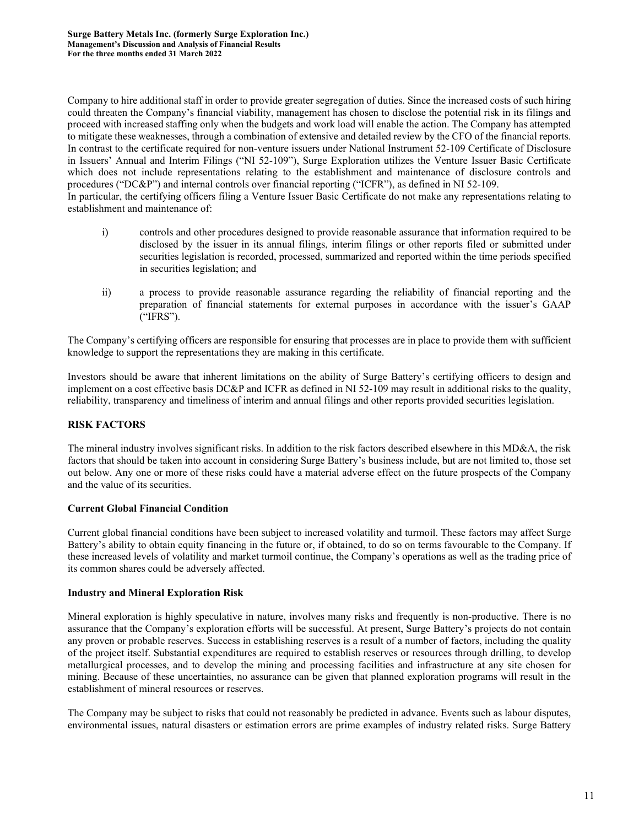Company to hire additional staff in order to provide greater segregation of duties. Since the increased costs of such hiring could threaten the Company's financial viability, management has chosen to disclose the potential risk in its filings and proceed with increased staffing only when the budgets and work load will enable the action. The Company has attempted to mitigate these weaknesses, through a combination of extensive and detailed review by the CFO of the financial reports. In contrast to the certificate required for non-venture issuers under National Instrument 52-109 Certificate of Disclosure in Issuers' Annual and Interim Filings ("NI 52-109"), Surge Exploration utilizes the Venture Issuer Basic Certificate which does not include representations relating to the establishment and maintenance of disclosure controls and procedures ("DC&P") and internal controls over financial reporting ("ICFR"), as defined in NI 52-109.

In particular, the certifying officers filing a Venture Issuer Basic Certificate do not make any representations relating to establishment and maintenance of:

- i) controls and other procedures designed to provide reasonable assurance that information required to be disclosed by the issuer in its annual filings, interim filings or other reports filed or submitted under securities legislation is recorded, processed, summarized and reported within the time periods specified in securities legislation; and
- ii) a process to provide reasonable assurance regarding the reliability of financial reporting and the preparation of financial statements for external purposes in accordance with the issuer's GAAP ("IFRS").

The Company's certifying officers are responsible for ensuring that processes are in place to provide them with sufficient knowledge to support the representations they are making in this certificate.

Investors should be aware that inherent limitations on the ability of Surge Battery's certifying officers to design and implement on a cost effective basis DC&P and ICFR as defined in NI 52-109 may result in additional risks to the quality, reliability, transparency and timeliness of interim and annual filings and other reports provided securities legislation.

# **RISK FACTORS**

The mineral industry involves significant risks. In addition to the risk factors described elsewhere in this MD&A, the risk factors that should be taken into account in considering Surge Battery's business include, but are not limited to, those set out below. Any one or more of these risks could have a material adverse effect on the future prospects of the Company and the value of its securities.

# **Current Global Financial Condition**

Current global financial conditions have been subject to increased volatility and turmoil. These factors may affect Surge Battery's ability to obtain equity financing in the future or, if obtained, to do so on terms favourable to the Company. If these increased levels of volatility and market turmoil continue, the Company's operations as well as the trading price of its common shares could be adversely affected.

#### **Industry and Mineral Exploration Risk**

Mineral exploration is highly speculative in nature, involves many risks and frequently is non-productive. There is no assurance that the Company's exploration efforts will be successful. At present, Surge Battery's projects do not contain any proven or probable reserves. Success in establishing reserves is a result of a number of factors, including the quality of the project itself. Substantial expenditures are required to establish reserves or resources through drilling, to develop metallurgical processes, and to develop the mining and processing facilities and infrastructure at any site chosen for mining. Because of these uncertainties, no assurance can be given that planned exploration programs will result in the establishment of mineral resources or reserves.

The Company may be subject to risks that could not reasonably be predicted in advance. Events such as labour disputes, environmental issues, natural disasters or estimation errors are prime examples of industry related risks. Surge Battery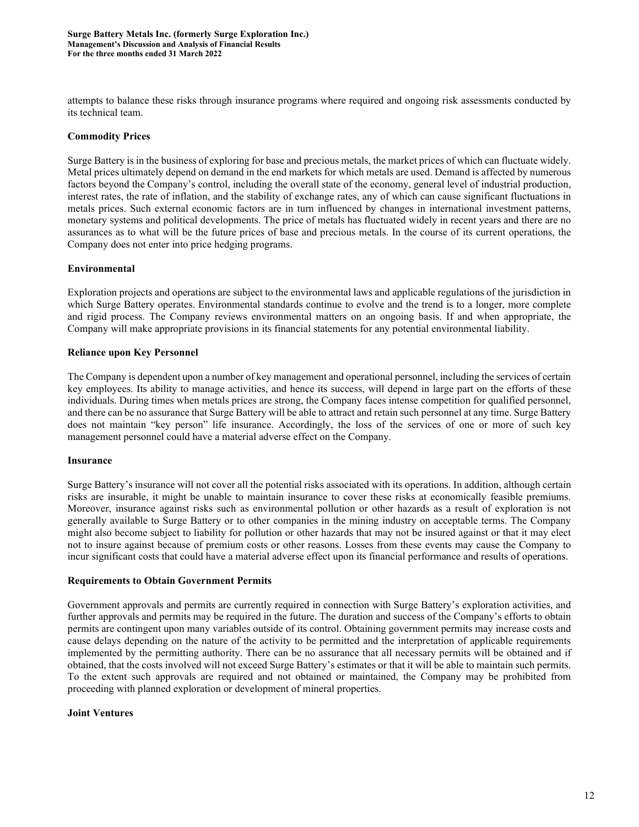attempts to balance these risks through insurance programs where required and ongoing risk assessments conducted by its technical team.

#### **Commodity Prices**

Surge Battery is in the business of exploring for base and precious metals, the market prices of which can fluctuate widely. Metal prices ultimately depend on demand in the end markets for which metals are used. Demand is affected by numerous factors beyond the Company's control, including the overall state of the economy, general level of industrial production, interest rates, the rate of inflation, and the stability of exchange rates, any of which can cause significant fluctuations in metals prices. Such external economic factors are in turn influenced by changes in international investment patterns, monetary systems and political developments. The price of metals has fluctuated widely in recent years and there are no assurances as to what will be the future prices of base and precious metals. In the course of its current operations, the Company does not enter into price hedging programs.

#### **Environmental**

Exploration projects and operations are subject to the environmental laws and applicable regulations of the jurisdiction in which Surge Battery operates. Environmental standards continue to evolve and the trend is to a longer, more complete and rigid process. The Company reviews environmental matters on an ongoing basis. If and when appropriate, the Company will make appropriate provisions in its financial statements for any potential environmental liability.

#### **Reliance upon Key Personnel**

The Company is dependent upon a number of key management and operational personnel, including the services of certain key employees. Its ability to manage activities, and hence its success, will depend in large part on the efforts of these individuals. During times when metals prices are strong, the Company faces intense competition for qualified personnel, and there can be no assurance that Surge Battery will be able to attract and retain such personnel at any time. Surge Battery does not maintain "key person" life insurance. Accordingly, the loss of the services of one or more of such key management personnel could have a material adverse effect on the Company.

#### **Insurance**

Surge Battery's insurance will not cover all the potential risks associated with its operations. In addition, although certain risks are insurable, it might be unable to maintain insurance to cover these risks at economically feasible premiums. Moreover, insurance against risks such as environmental pollution or other hazards as a result of exploration is not generally available to Surge Battery or to other companies in the mining industry on acceptable terms. The Company might also become subject to liability for pollution or other hazards that may not be insured against or that it may elect not to insure against because of premium costs or other reasons. Losses from these events may cause the Company to incur significant costs that could have a material adverse effect upon its financial performance and results of operations.

#### **Requirements to Obtain Government Permits**

Government approvals and permits are currently required in connection with Surge Battery's exploration activities, and further approvals and permits may be required in the future. The duration and success of the Company's efforts to obtain permits are contingent upon many variables outside of its control. Obtaining government permits may increase costs and cause delays depending on the nature of the activity to be permitted and the interpretation of applicable requirements implemented by the permitting authority. There can be no assurance that all necessary permits will be obtained and if obtained, that the costs involved will not exceed Surge Battery's estimates or that it will be able to maintain such permits. To the extent such approvals are required and not obtained or maintained, the Company may be prohibited from proceeding with planned exploration or development of mineral properties.

#### **Joint Ventures**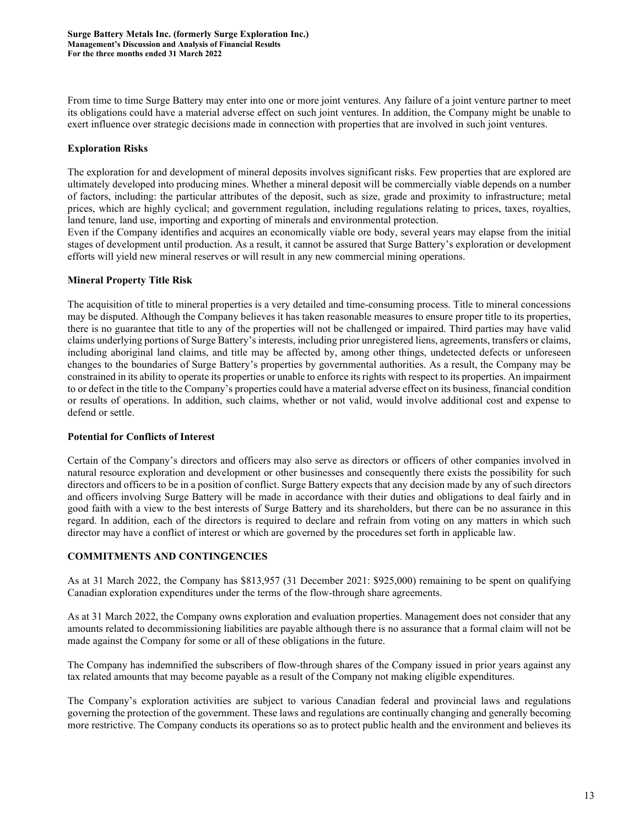From time to time Surge Battery may enter into one or more joint ventures. Any failure of a joint venture partner to meet its obligations could have a material adverse effect on such joint ventures. In addition, the Company might be unable to exert influence over strategic decisions made in connection with properties that are involved in such joint ventures.

# **Exploration Risks**

The exploration for and development of mineral deposits involves significant risks. Few properties that are explored are ultimately developed into producing mines. Whether a mineral deposit will be commercially viable depends on a number of factors, including: the particular attributes of the deposit, such as size, grade and proximity to infrastructure; metal prices, which are highly cyclical; and government regulation, including regulations relating to prices, taxes, royalties, land tenure, land use, importing and exporting of minerals and environmental protection.

Even if the Company identifies and acquires an economically viable ore body, several years may elapse from the initial stages of development until production. As a result, it cannot be assured that Surge Battery's exploration or development efforts will yield new mineral reserves or will result in any new commercial mining operations.

#### **Mineral Property Title Risk**

The acquisition of title to mineral properties is a very detailed and time-consuming process. Title to mineral concessions may be disputed. Although the Company believes it has taken reasonable measures to ensure proper title to its properties, there is no guarantee that title to any of the properties will not be challenged or impaired. Third parties may have valid claims underlying portions of Surge Battery's interests, including prior unregistered liens, agreements, transfers or claims, including aboriginal land claims, and title may be affected by, among other things, undetected defects or unforeseen changes to the boundaries of Surge Battery's properties by governmental authorities. As a result, the Company may be constrained in its ability to operate its properties or unable to enforce its rights with respect to its properties. An impairment to or defect in the title to the Company's properties could have a material adverse effect on its business, financial condition or results of operations. In addition, such claims, whether or not valid, would involve additional cost and expense to defend or settle.

# **Potential for Conflicts of Interest**

Certain of the Company's directors and officers may also serve as directors or officers of other companies involved in natural resource exploration and development or other businesses and consequently there exists the possibility for such directors and officers to be in a position of conflict. Surge Battery expects that any decision made by any of such directors and officers involving Surge Battery will be made in accordance with their duties and obligations to deal fairly and in good faith with a view to the best interests of Surge Battery and its shareholders, but there can be no assurance in this regard. In addition, each of the directors is required to declare and refrain from voting on any matters in which such director may have a conflict of interest or which are governed by the procedures set forth in applicable law.

#### **COMMITMENTS AND CONTINGENCIES**

As at 31 March 2022, the Company has \$813,957 (31 December 2021: \$925,000) remaining to be spent on qualifying Canadian exploration expenditures under the terms of the flow-through share agreements.

As at 31 March 2022, the Company owns exploration and evaluation properties. Management does not consider that any amounts related to decommissioning liabilities are payable although there is no assurance that a formal claim will not be made against the Company for some or all of these obligations in the future.

The Company has indemnified the subscribers of flow-through shares of the Company issued in prior years against any tax related amounts that may become payable as a result of the Company not making eligible expenditures.

The Company's exploration activities are subject to various Canadian federal and provincial laws and regulations governing the protection of the government. These laws and regulations are continually changing and generally becoming more restrictive. The Company conducts its operations so as to protect public health and the environment and believes its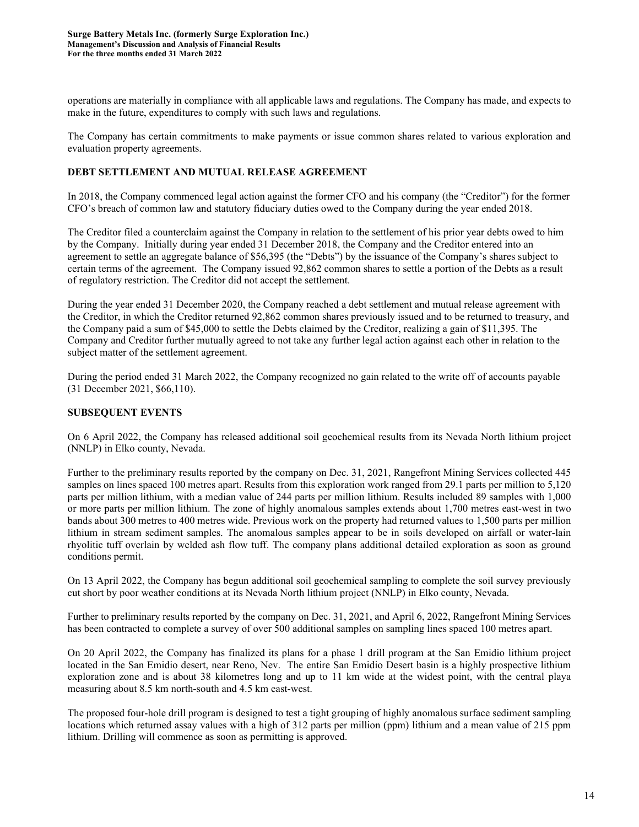operations are materially in compliance with all applicable laws and regulations. The Company has made, and expects to make in the future, expenditures to comply with such laws and regulations.

The Company has certain commitments to make payments or issue common shares related to various exploration and evaluation property agreements.

# **DEBT SETTLEMENT AND MUTUAL RELEASE AGREEMENT**

In 2018, the Company commenced legal action against the former CFO and his company (the "Creditor") for the former CFO's breach of common law and statutory fiduciary duties owed to the Company during the year ended 2018.

The Creditor filed a counterclaim against the Company in relation to the settlement of his prior year debts owed to him by the Company. Initially during year ended 31 December 2018, the Company and the Creditor entered into an agreement to settle an aggregate balance of \$56,395 (the "Debts") by the issuance of the Company's shares subject to certain terms of the agreement. The Company issued 92,862 common shares to settle a portion of the Debts as a result of regulatory restriction. The Creditor did not accept the settlement.

During the year ended 31 December 2020, the Company reached a debt settlement and mutual release agreement with the Creditor, in which the Creditor returned 92,862 common shares previously issued and to be returned to treasury, and the Company paid a sum of \$45,000 to settle the Debts claimed by the Creditor, realizing a gain of \$11,395. The Company and Creditor further mutually agreed to not take any further legal action against each other in relation to the subject matter of the settlement agreement.

During the period ended 31 March 2022, the Company recognized no gain related to the write off of accounts payable (31 December 2021, \$66,110).

# **SUBSEQUENT EVENTS**

On 6 April 2022, the Company has released additional soil geochemical results from its Nevada North lithium project (NNLP) in Elko county, Nevada.

Further to the preliminary results reported by the company on Dec. 31, 2021, Rangefront Mining Services collected 445 samples on lines spaced 100 metres apart. Results from this exploration work ranged from 29.1 parts per million to 5,120 parts per million lithium, with a median value of 244 parts per million lithium. Results included 89 samples with 1,000 or more parts per million lithium. The zone of highly anomalous samples extends about 1,700 metres east-west in two bands about 300 metres to 400 metres wide. Previous work on the property had returned values to 1,500 parts per million lithium in stream sediment samples. The anomalous samples appear to be in soils developed on airfall or water-lain rhyolitic tuff overlain by welded ash flow tuff. The company plans additional detailed exploration as soon as ground conditions permit.

On 13 April 2022, the Company has begun additional soil geochemical sampling to complete the soil survey previously cut short by poor weather conditions at its Nevada North lithium project (NNLP) in Elko county, Nevada.

Further to preliminary results reported by the company on Dec. 31, 2021, and April 6, 2022, Rangefront Mining Services has been contracted to complete a survey of over 500 additional samples on sampling lines spaced 100 metres apart.

On 20 April 2022, the Company has finalized its plans for a phase 1 drill program at the San Emidio lithium project located in the San Emidio desert, near Reno, Nev. The entire San Emidio Desert basin is a highly prospective lithium exploration zone and is about 38 kilometres long and up to 11 km wide at the widest point, with the central playa measuring about 8.5 km north-south and 4.5 km east-west.

The proposed four-hole drill program is designed to test a tight grouping of highly anomalous surface sediment sampling locations which returned assay values with a high of 312 parts per million (ppm) lithium and a mean value of 215 ppm lithium. Drilling will commence as soon as permitting is approved.